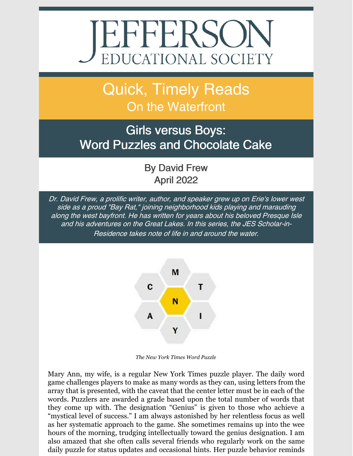# EFFERSON

## Quick, Timely Reads On the Waterfront

#### Girls versus Boys: Word Puzzles and Chocolate Cake

By David Frew April 2022

Dr. David Frew, <sup>a</sup> prolific writer, author, and speaker grew up on Erie's lower west side as <sup>a</sup> proud "Bay Rat," joining neighborhood kids playing and marauding along the west bayfront. He has written for years about his beloved Presque Isle and his adventures on the Great Lakes. In this series, the JES Scholar-in-Residence takes note of life in and around the water.



*The New York Times Word Puzzle*

Mary Ann, my wife, is a regular New York Times puzzle player. The daily word game challenges players to make as many words as they can, using letters from the array that is presented, with the caveat that the center letter must be in each of the words. Puzzlers are awarded a grade based upon the total number of words that they come up with. The designation "Genius" is given to those who achieve a "mystical level of success." I am always astonished by her relentless focus as well as her systematic approach to the game. She sometimes remains up into the wee hours of the morning, trudging intellectually toward the genius designation. I am also amazed that she often calls several friends who regularly work on the same daily puzzle for status updates and occasional hints. Her puzzle behavior reminds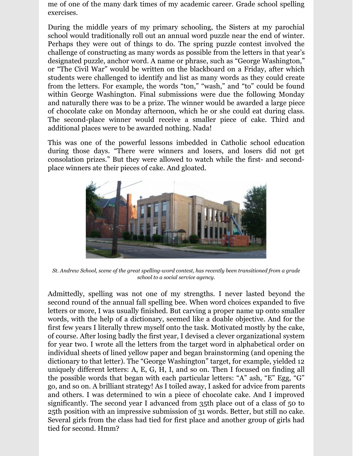me of one of the many dark times of my academic career. Grade school spelling exercises.

During the middle years of my primary schooling, the Sisters at my parochial school would traditionally roll out an annual word puzzle near the end of winter. Perhaps they were out of things to do. The spring puzzle contest involved the challenge of constructing as many words as possible from the letters in that year's designated puzzle, anchor word. A name or phrase, such as "George Washington," or "The Civil War" would be written on the blackboard on a Friday, after which students were challenged to identify and list as many words as they could create from the letters. For example, the words "ton," "wash," and "to" could be found within George Washington. Final submissions were due the following Monday and naturally there was to be a prize. The winner would be awarded a large piece of chocolate cake on Monday afternoon, which he or she could eat during class. The second-place winner would receive a smaller piece of cake. Third and additional places were to be awarded nothing. Nada!

This was one of the powerful lessons imbedded in Catholic school education during those days. "There were winners and losers, and losers did not get consolation prizes." But they were allowed to watch while the first- and secondplace winners ate their pieces of cake. And gloated.



*St. Andrew School, scene of the great spelling-word contest, has recently been transitioned from a grade school to a social service agency.*

Admittedly, spelling was not one of my strengths. I never lasted beyond the second round of the annual fall spelling bee. When word choices expanded to five letters or more, I was usually finished. But carving a proper name up onto smaller words, with the help of a dictionary, seemed like a doable objective. And for the first few years I literally threw myself onto the task. Motivated mostly by the cake, of course. After losing badly the first year, I devised a clever organizational system for year two. I wrote all the letters from the target word in alphabetical order on individual sheets of lined yellow paper and began brainstorming (and opening the dictionary to that letter). The "George Washington" target, for example, yielded 12 uniquely different letters: A, E, G, H, I, and so on. Then I focused on finding all the possible words that began with each particular letters: "A" ash, "E" Egg, "G" go, and so on. A brilliant strategy! As I toiled away, I asked for advice from parents and others. I was determined to win a piece of chocolate cake. And I improved significantly. The second year I advanced from 35th place out of a class of 50 to 25th position with an impressive submission of 31 words. Better, but still no cake. Several girls from the class had tied for first place and another group of girls had tied for second. Hmm?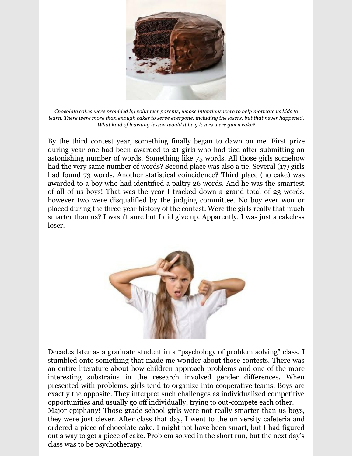

*Chocolate cakes were provided by volunteer parents, whose intentions were to help motivate us kids to* learn. There were more than enough cakes to serve everyone, including the losers, but that never happened. *What kind of learning lesson would it be if losers were given cake?*

By the third contest year, something finally began to dawn on me. First prize during year one had been awarded to 21 girls who had tied after submitting an astonishing number of words. Something like 75 words. All those girls somehow had the very same number of words? Second place was also a tie. Several (17) girls had found 73 words. Another statistical coincidence? Third place (no cake) was awarded to a boy who had identified a paltry 26 words. And he was the smartest of all of us boys! That was the year I tracked down a grand total of 23 words, however two were disqualified by the judging committee. No boy ever won or placed during the three-year history of the contest. Were the girls really that much smarter than us? I wasn't sure but I did give up. Apparently, I was just a cakeless loser.



Decades later as a graduate student in a "psychology of problem solving" class, I stumbled onto something that made me wonder about those contests. There was an entire literature about how children approach problems and one of the more interesting substrains in the research involved gender differences. When presented with problems, girls tend to organize into cooperative teams. Boys are exactly the opposite. They interpret such challenges as individualized competitive opportunities and usually go off individually, trying to out-compete each other. Major epiphany! Those grade school girls were not really smarter than us boys, they were just clever. After class that day, I went to the university cafeteria and ordered a piece of chocolate cake. I might not have been smart, but I had figured out a way to get a piece of cake. Problem solved in the short run, but the next day's class was to be psychotherapy.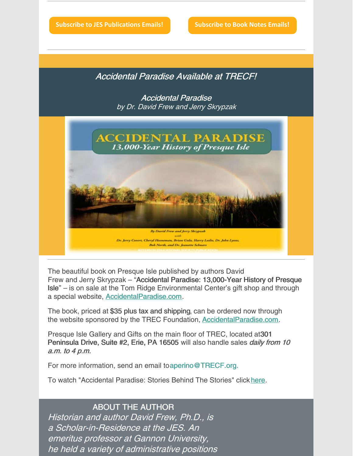**Subscribe to JES [Publications](https://lp.constantcontactpages.com/su/OYSOPRt/PublicationsSubscription?source_id=0f8ede0d-27ab-4873-8465-afd0ef7b0517&source_type=em&c=) Emails! [Subscribe](https://lp.constantcontactpages.com/su/TXbaxH2/BookNotesSubscription?source_id=0f8ede0d-27ab-4873-8465-afd0ef7b0517&source_type=em&c=) to Book Notes Emails!**

Accidental Paradise Available at TRECF!

Accidental Paradise by Dr. David Frew and Jerry Skrypzak



The beautiful book on Presque Isle published by authors David Frew and Jerry Skrypzak – "Accidental Paradise: 13,000-Year History of Presque Isle" – is on sale at the Tom Ridge Environmental Center's gift shop and through a special website, [AccidentalParadise.com](http://r20.rs6.net/tn.jsp?f=001EIJ4bWInbAgZbfubFkRC6CJbiNPBnDNmlUevQbPeCp1CHyPy1PudVT_GBGMKCgQkI5_hxwzW8RAuM_JPgy-OW4cwbEtSpi2bXvIzjjPOzDvf5Za4YQ6DXvK7wLRR56asG7Ya4wMn-TbrCz2fsITPjg==&c=WAaU3N0-L4YGB3ynOn-kUkgM_yiuLjPWr84Za7eXf1C6hqLg9eYUwQ==&ch=CjD0a-KMcO9BAvzxTmthj-rGDyoqC43eKwiy7Xv9UvzdH29THLJyEw==).

The book, priced at \$35 plus tax and shipping, can be ordered now through the website sponsored by the TREC Foundation, **[AccidentalParadise.com](http://r20.rs6.net/tn.jsp?f=001EIJ4bWInbAgZbfubFkRC6CJbiNPBnDNmlUevQbPeCp1CHyPy1PudVSoSqIsYDhcA2SVqGDFbvwXgwDL8Czp1wjUocXtAllu6z186Q0Y8g_KhSkRdZX9w7zBMb3-ovne_jE0DF8YyX2sBzca0-7AbuWORKrz902cn9WpYIdN3_Ho=&c=WAaU3N0-L4YGB3ynOn-kUkgM_yiuLjPWr84Za7eXf1C6hqLg9eYUwQ==&ch=CjD0a-KMcO9BAvzxTmthj-rGDyoqC43eKwiy7Xv9UvzdH29THLJyEw==).** 

Presque Isle Gallery and Gifts on the main floor of TREC, located at301 Peninsula Drive, Suite #2, Erie, PA 16505 will also handle sales *daily from 10* a.m. to 4 p.m.

For more information, send an email toaperino@TRECF.org.

To watch "Accidental Paradise: Stories Behind The Stories" click [here](http://r20.rs6.net/tn.jsp?f=001EIJ4bWInbAgZbfubFkRC6CJbiNPBnDNmlUevQbPeCp1CHyPy1PudVSoSqIsYDhcADYmNoBPGxBZ1-4y1KleSguYPYDvB1zSMRerJBfcuaLH0e3z_VX77sufLH-MJ5RyfuLkHkTbnhg5-strVFZTtBg==&c=WAaU3N0-L4YGB3ynOn-kUkgM_yiuLjPWr84Za7eXf1C6hqLg9eYUwQ==&ch=CjD0a-KMcO9BAvzxTmthj-rGDyoqC43eKwiy7Xv9UvzdH29THLJyEw==).

#### ABOUT THE AUTHOR

Historian and author David Frew, Ph.D., is a Scholar-in-Residence at the JES. An emeritus professor at Gannon University, he held <sup>a</sup> variety of administrative positions